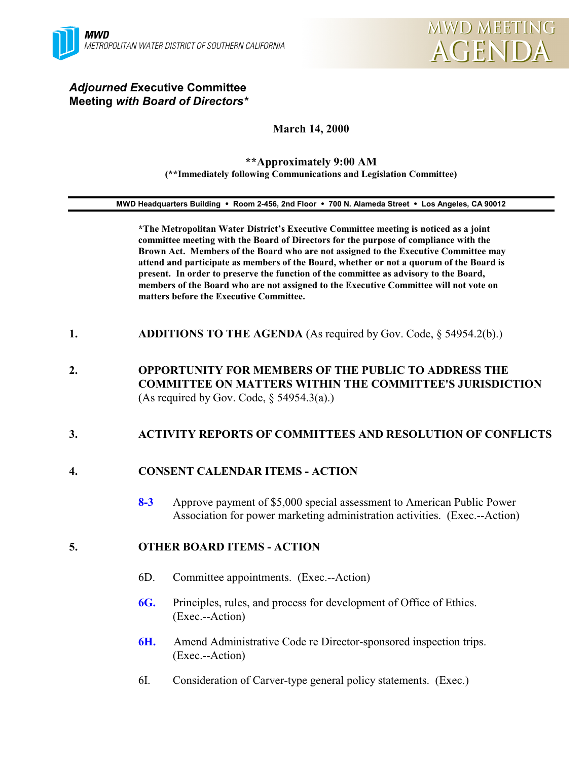

## *Adjourned E***xecutive Committee Meeting** *with Board of Directors\**

# **March 14, 2000**

#### **\*\*Approximately 9:00 AM (\*\*Immediately following Communications and Legislation Committee)**

#### **MWD Headquarters Building** ! **Room 2-456, 2nd Floor** ! **700 N. Alameda Street** ! **Los Angeles, CA 90012**

**\*The Metropolitan Water District's Executive Committee meeting is noticed as a joint committee meeting with the Board of Directors for the purpose of compliance with the Brown Act. Members of the Board who are not assigned to the Executive Committee may attend and participate as members of the Board, whether or not a quorum of the Board is present. In order to preserve the function of the committee as advisory to the Board, members of the Board who are not assigned to the Executive Committee will not vote on matters before the Executive Committee.**

- **1. ADDITIONS TO THE AGENDA** (As required by Gov. Code, § 54954.2(b).)
- **2. OPPORTUNITY FOR MEMBERS OF THE PUBLIC TO ADDRESS THE COMMITTEE ON MATTERS WITHIN THE COMMITTEE'S JURISDICTION** (As required by Gov. Code,  $\S$  54954.3(a).)

## **3. ACTIVITY REPORTS OF COMMITTEES AND RESOLUTION OF CONFLICTS**

## **4. CONSENT CALENDAR ITEMS - ACTION**

**8-3** Approve payment of \$5,000 special assessment to American Public Power Association for power marketing administration activities. (Exec.--Action)

## **5. OTHER BOARD ITEMS - ACTION**

- 6D. Committee appointments. (Exec.--Action)
- **6G.** Principles, rules, and process for development of Office of Ethics. (Exec.--Action)
- **6H.** Amend Administrative Code re Director-sponsored inspection trips. (Exec.--Action)
- 6I. Consideration of Carver-type general policy statements. (Exec.)